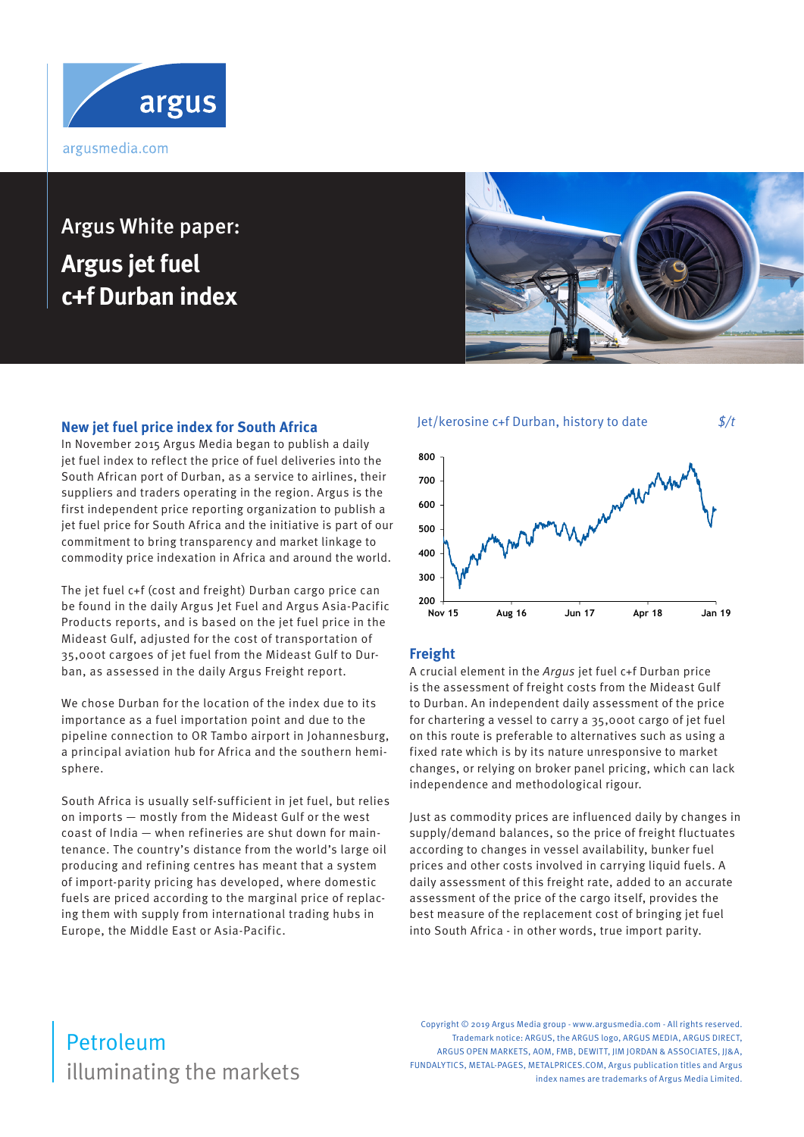

# Argus White paper: **Argus jet fuel c+f Durban index**

### **New jet fuel price index for South Africa**

In November 2015 Argus Media began to publish a daily jet fuel index to reflect the price of fuel deliveries into the South African port of Durban, as a service to airlines, their suppliers and traders operating in the region. Argus is the first independent price reporting organization to publish a jet fuel price for South Africa and the initiative is part of our commitment to bring transparency and market linkage to commodity price indexation in Africa and around the world.

The jet fuel c+f (cost and freight) Durban cargo price can be found in the daily Argus Jet Fuel and Argus Asia-Pacific Products reports, and is based on the jet fuel price in the Mideast Gulf, adjusted for the cost of transportation of 35,000t cargoes of jet fuel from the Mideast Gulf to Durban, as assessed in the daily Argus Freight report.

We chose Durban for the location of the index due to its importance as a fuel importation point and due to the pipeline connection to OR Tambo airport in Johannesburg, a principal aviation hub for Africa and the southern hemisphere.

South Africa is usually self-sufficient in jet fuel, but relies on imports — mostly from the Mideast Gulf or the west coast of India — when refineries are shut down for maintenance. The country's distance from the world's large oil producing and refining centres has meant that a system of import-parity pricing has developed, where domestic fuels are priced according to the marginal price of replacing them with supply from international trading hubs in Europe, the Middle East or Asia-Pacific.





### **Freight**

A crucial element in the Argus jet fuel c+f Durban price is the assessment of freight costs from the Mideast Gulf to Durban. An independent daily assessment of the price for chartering a vessel to carry a 35,000t cargo of jet fuel on this route is preferable to alternatives such as using a fixed rate which is by its nature unresponsive to market changes, or relying on broker panel pricing, which can lack independence and methodological rigour.

Just as commodity prices are influenced daily by changes in supply/demand balances, so the price of freight fluctuates according to changes in vessel availability, bunker fuel prices and other costs involved in carrying liquid fuels. A daily assessment of this freight rate, added to an accurate assessment of the price of the cargo itself, provides the best measure of the replacement cost of bringing jet fuel into South Africa - in other words, true import parity.

## illuminating the markets Petroleum

Copyright © 2019 Argus Media group - www.argusmedia.com - All rights reserved. Trademark notice: ARGUS, the ARGUS logo, ARGUS MEDIA, ARGUS DIRECT, ARGUS OPEN MARKETS, AOM, FMB, DEWITT, JIM JORDAN & ASSOCIATES, JJ&A, FUNDALYTICS, METAL-PAGES, METALPRICES.COM, Argus publication titles and Argus index names are trademarks of Argus Media Limited.